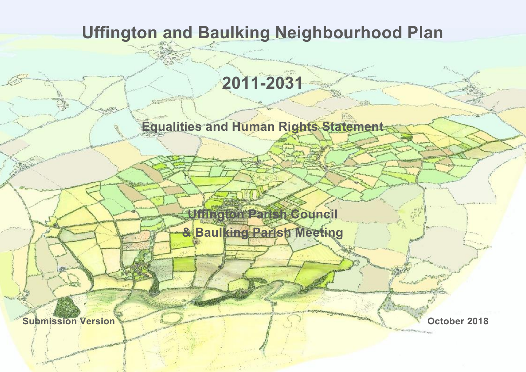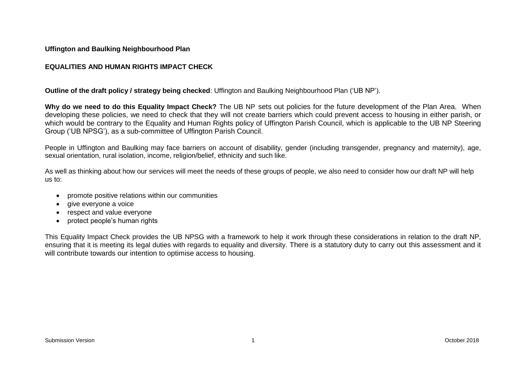### **Uffington and Baulking Neighbourhood Plan**

### **EQUALITIES AND HUMAN RIGHTS IMPACT CHECK**

**Outline of the draft policy / strategy being checked**: Uffington and Baulking Neighbourhood Plan ('UB NP').

**Why do we need to do this Equality Impact Check?** The UB NP sets out policies for the future development of the Plan Area. When developing these policies, we need to check that they will not create barriers which could prevent access to housing in either parish, or which would be contrary to the Equality and Human Rights policy of Uffington Parish Council, which is applicable to the UB NP Steering Group ('UB NPSG'), as a sub-committee of Uffington Parish Council.

People in Uffington and Baulking may face barriers on account of disability, gender (including transgender, pregnancy and maternity), age, sexual orientation, rural isolation, income, religion/belief, ethnicity and such like.

As well as thinking about how our services will meet the needs of these groups of people, we also need to consider how our draft NP will help us to:

- promote positive relations within our communities
- aive everyone a voice
- respect and value everyone
- protect people's human rights

This Equality Impact Check provides the UB NPSG with a framework to help it work through these considerations in relation to the draft NP, ensuring that it is meeting its legal duties with regards to equality and diversity. There is a statutory duty to carry out this assessment and it will contribute towards our intention to optimise access to housing.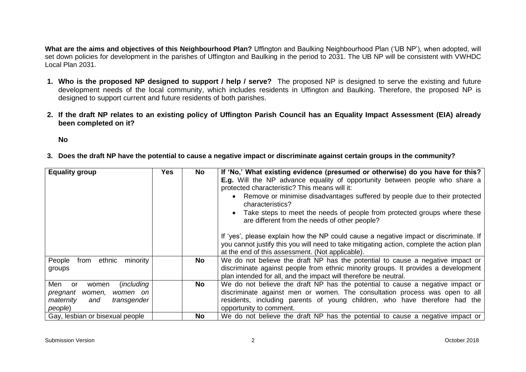**What are the aims and objectives of this Neighbourhood Plan?** Uffington and Baulking Neighbourhood Plan ('UB NP'), when adopted, will set down policies for development in the parishes of Uffington and Baulking in the period to 2031. The UB NP will be consistent with VWHDC Local Plan 2031.

- **1. Who is the proposed NP designed to support / help / serve?** The proposed NP is designed to serve the existing and future development needs of the local community, which includes residents in Uffington and Baulking. Therefore, the proposed NP is designed to support current and future residents of both parishes.
- **2. If the draft NP relates to an existing policy of Uffington Parish Council has an Equality Impact Assessment (EIA) already been completed on it?**

**No** 

**3. Does the draft NP have the potential to cause a negative impact or discriminate against certain groups in the community?** 

| <b>Equality group</b>                                                                                            | <b>Yes</b> | <b>No</b> | If 'No,' What existing evidence (presumed or otherwise) do you have for this?<br><b>E.g.</b> Will the NP advance equality of opportunity between people who share a<br>protected characteristic? This means will it:<br>Remove or minimise disadvantages suffered by people due to their protected<br>characteristics?<br>Take steps to meet the needs of people from protected groups where these<br>are different from the needs of other people?<br>If 'yes', please explain how the NP could cause a negative impact or discriminate. If<br>you cannot justify this you will need to take mitigating action, complete the action plan<br>at the end of this assessment. (Not applicable). |
|------------------------------------------------------------------------------------------------------------------|------------|-----------|-----------------------------------------------------------------------------------------------------------------------------------------------------------------------------------------------------------------------------------------------------------------------------------------------------------------------------------------------------------------------------------------------------------------------------------------------------------------------------------------------------------------------------------------------------------------------------------------------------------------------------------------------------------------------------------------------|
| People<br>minority<br>ethnic<br>from<br>groups                                                                   |            | No        | We do not believe the draft NP has the potential to cause a negative impact or<br>discriminate against people from ethnic minority groups. It provides a development<br>plan intended for all, and the impact will therefore be neutral.                                                                                                                                                                                                                                                                                                                                                                                                                                                      |
| Men<br>(including<br>or<br>women<br>pregnant<br>women on<br>women,<br>maternity<br>transgender<br>and<br>people) |            | <b>No</b> | We do not believe the draft NP has the potential to cause a negative impact or<br>discriminate against men or women. The consultation process was open to all<br>residents, including parents of young children, who have therefore had the<br>opportunity to comment.                                                                                                                                                                                                                                                                                                                                                                                                                        |
| Gay, lesbian or bisexual people                                                                                  |            | No.       | We do not believe the draft NP has the potential to cause a negative impact or                                                                                                                                                                                                                                                                                                                                                                                                                                                                                                                                                                                                                |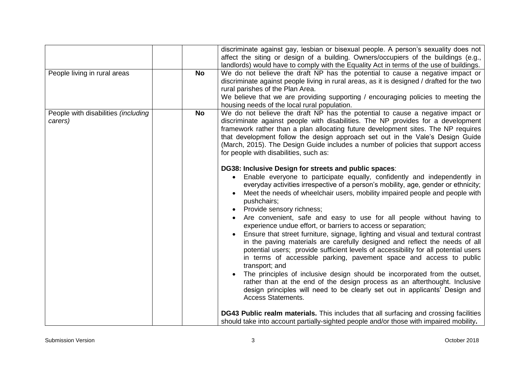| People living in rural areas                   | <b>No</b> | discriminate against gay, lesbian or bisexual people. A person's sexuality does not<br>affect the siting or design of a building. Owners/occupiers of the buildings (e.g.,<br>landlords) would have to comply with the Equality Act in terms of the use of buildings.<br>We do not believe the draft NP has the potential to cause a negative impact or<br>discriminate against people living in rural areas, as it is designed / drafted for the two<br>rural parishes of the Plan Area.<br>We believe that we are providing supporting / encouraging policies to meeting the<br>housing needs of the local rural population.                                                                                                                                                                                                                                                                                                                                                                                                                                                                                                                                                                                                                                                                                                                                                                                                                                                                                                                                                                                                                                                                                                                                                                 |
|------------------------------------------------|-----------|------------------------------------------------------------------------------------------------------------------------------------------------------------------------------------------------------------------------------------------------------------------------------------------------------------------------------------------------------------------------------------------------------------------------------------------------------------------------------------------------------------------------------------------------------------------------------------------------------------------------------------------------------------------------------------------------------------------------------------------------------------------------------------------------------------------------------------------------------------------------------------------------------------------------------------------------------------------------------------------------------------------------------------------------------------------------------------------------------------------------------------------------------------------------------------------------------------------------------------------------------------------------------------------------------------------------------------------------------------------------------------------------------------------------------------------------------------------------------------------------------------------------------------------------------------------------------------------------------------------------------------------------------------------------------------------------------------------------------------------------------------------------------------------------|
| People with disabilities (including<br>carers) | No        | We do not believe the draft NP has the potential to cause a negative impact or<br>discriminate against people with disabilities. The NP provides for a development<br>framework rather than a plan allocating future development sites. The NP requires<br>that development follow the design approach set out in the Vale's Design Guide<br>(March, 2015). The Design Guide includes a number of policies that support access<br>for people with disabilities, such as:<br>DG38: Inclusive Design for streets and public spaces:<br>Enable everyone to participate equally, confidently and independently in<br>everyday activities irrespective of a person's mobility, age, gender or ethnicity;<br>Meet the needs of wheelchair users, mobility impaired people and people with<br>pushchairs;<br>Provide sensory richness;<br>Are convenient, safe and easy to use for all people without having to<br>experience undue effort, or barriers to access or separation;<br>Ensure that street furniture, signage, lighting and visual and textural contrast<br>in the paving materials are carefully designed and reflect the needs of all<br>potential users; provide sufficient levels of accessibility for all potential users<br>in terms of accessible parking, pavement space and access to public<br>transport; and<br>The principles of inclusive design should be incorporated from the outset,<br>rather than at the end of the design process as an afterthought. Inclusive<br>design principles will need to be clearly set out in applicants' Design and<br><b>Access Statements.</b><br><b>DG43 Public realm materials.</b> This includes that all surfacing and crossing facilities<br>should take into account partially-sighted people and/or those with impaired mobility. |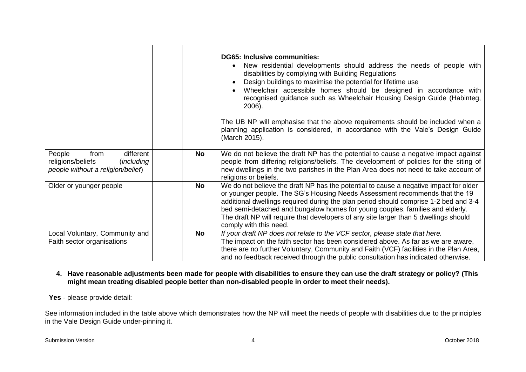|                                                                                                             |           | <b>DG65: Inclusive communities:</b><br>New residential developments should address the needs of people with<br>disabilities by complying with Building Regulations<br>Design buildings to maximise the potential for lifetime use<br>Wheelchair accessible homes should be designed in accordance with<br>recognised guidance such as Wheelchair Housing Design Guide (Habinteg,<br>2006).<br>The UB NP will emphasise that the above requirements should be included when a<br>planning application is considered, in accordance with the Vale's Design Guide<br>(March 2015). |
|-------------------------------------------------------------------------------------------------------------|-----------|---------------------------------------------------------------------------------------------------------------------------------------------------------------------------------------------------------------------------------------------------------------------------------------------------------------------------------------------------------------------------------------------------------------------------------------------------------------------------------------------------------------------------------------------------------------------------------|
| People<br>different<br>from<br>religions/beliefs<br><i>(including)</i><br>people without a religion/belief) | No        | We do not believe the draft NP has the potential to cause a negative impact against<br>people from differing religions/beliefs. The development of policies for the siting of<br>new dwellings in the two parishes in the Plan Area does not need to take account of<br>religions or beliefs.                                                                                                                                                                                                                                                                                   |
| Older or younger people                                                                                     | <b>No</b> | We do not believe the draft NP has the potential to cause a negative impact for older<br>or younger people. The SG's Housing Needs Assessment recommends that the 19<br>additional dwellings required during the plan period should comprise 1-2 bed and 3-4<br>bed semi-detached and bungalow homes for young couples, families and elderly.<br>The draft NP will require that developers of any site larger than 5 dwellings should<br>comply with this need.                                                                                                                 |
| Local Voluntary, Community and<br>Faith sector organisations                                                | No        | If your draft NP does not relate to the VCF sector, please state that here.<br>The impact on the faith sector has been considered above. As far as we are aware,<br>there are no further Voluntary, Community and Faith (VCF) facilities in the Plan Area,<br>and no feedback received through the public consultation has indicated otherwise.                                                                                                                                                                                                                                 |

# **4. Have reasonable adjustments been made for people with disabilities to ensure they can use the draft strategy or policy? (This might mean treating disabled people better than non-disabled people in order to meet their needs).**

# **Yes** - please provide detail:

See information included in the table above which demonstrates how the NP will meet the needs of people with disabilities due to the principles in the Vale Design Guide under-pinning it.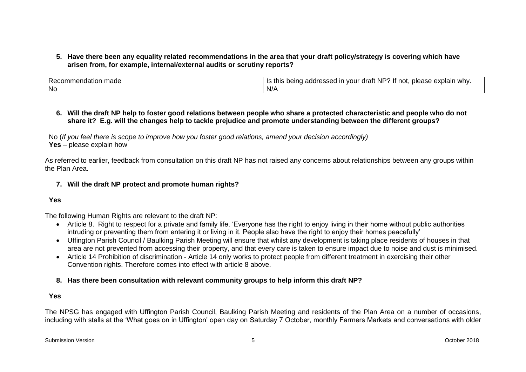### **5. Have there been any equality related recommendations in the area that your draft policy/strategy is covering which have arisen from, for example, internal/external audits or scrutiny reports?**

| mad∈<br>.ndatior<br><u>кн</u><br>טו | $\cdot$ NP $\cdot$<br>. .<br>explain why.<br>lt not.<br><b>DIOOCO</b><br>this<br>عصوصه<br>vour<br>draft<br>peinc<br><br>addr<br>Ш<br>l coocu<br><br>. . |
|-------------------------------------|---------------------------------------------------------------------------------------------------------------------------------------------------------|
| No                                  | $N$ / $\mu$                                                                                                                                             |

### **6. Will the draft NP help to foster good relations between people who share a protected characteristic and people who do not share it? E.g. will the changes help to tackle prejudice and promote understanding between the different groups?**

 No (*If you feel there is scope to improve how you foster good relations, amend your decision accordingly)*   **Yes** – please explain how

As referred to earlier, feedback from consultation on this draft NP has not raised any concerns about relationships between any groups within the Plan Area.

### **7. Will the draft NP protect and promote human rights?**

# **Yes**

The following Human Rights are relevant to the draft NP:

- Article 8. Right to respect for a private and family life. 'Everyone has the right to enjoy living in their home without public authorities intruding or preventing them from entering it or living in it. People also have the right to enjoy their homes peacefully'
- Uffington Parish Council / Baulking Parish Meeting will ensure that whilst any development is taking place residents of houses in that area are not prevented from accessing their property, and that every care is taken to ensure impact due to noise and dust is minimised.
- Article 14 Prohibition of discrimination Article 14 only works to protect people from different treatment in exercising their other Convention rights. Therefore comes into effect with article 8 above.

# **8. Has there been consultation with relevant community groups to help inform this draft NP?**

### **Yes**

The NPSG has engaged with Uffington Parish Council, Baulking Parish Meeting and residents of the Plan Area on a number of occasions, including with stalls at the 'What goes on in Uffington' open day on Saturday 7 October, monthly Farmers Markets and conversations with older